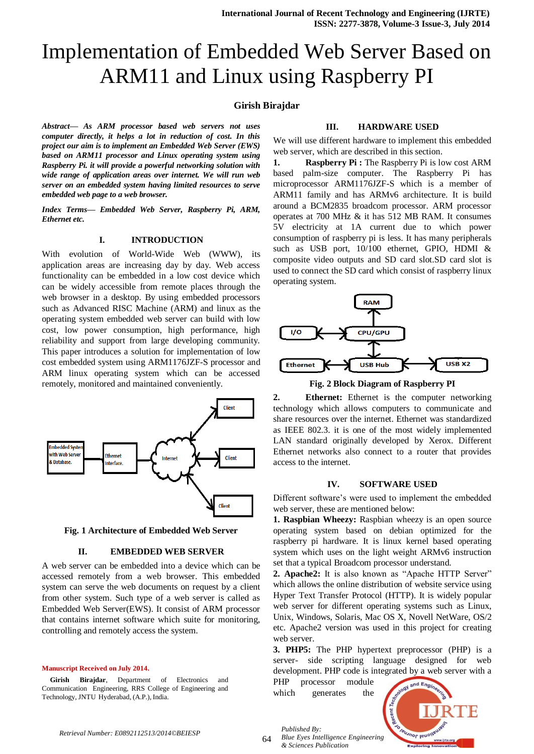# Implementation of Embedded Web Server Based on ARM11 and Linux using Raspberry PI

# **Girish Birajdar**

*Abstract— As ARM processor based web servers not uses computer directly, it helps a lot in reduction of cost. In this project our aim is to implement an Embedded Web Server (EWS) based on ARM11 processor and Linux operating system using Raspberry Pi. it will provide a powerful networking solution with wide range of application areas over internet. We will run web server on an embedded system having limited resources to serve embedded web page to a web browser.*

*Index Terms— Embedded Web Server, Raspberry Pi, ARM, Ethernet etc.*

# **I. INTRODUCTION**

With evolution of World-Wide Web (WWW), its application areas are increasing day by day. Web access functionality can be embedded in a low cost device which can be widely accessible from remote places through the web browser in a desktop. By using embedded processors such as Advanced RISC Machine (ARM) and linux as the operating system embedded web server can build with low cost, low power consumption, high performance, high reliability and support from large developing community. This paper introduces a solution for implementation of low cost embedded system using ARM1176JZF-S processor and ARM linux operating system which can be accessed remotely, monitored and maintained conveniently.



**Fig. 1 Architecture of Embedded Web Server**

#### **II. EMBEDDED WEB SERVER**

A web server can be embedded into a device which can be accessed remotely from a web browser. This embedded system can serve the web documents on request by a client from other system. Such type of a web server is called as Embedded Web Server(EWS). It consist of ARM processor that contains internet software which suite for monitoring, controlling and remotely access the system.

#### **Manuscript Received on July 2014.**

**Girish Birajdar**, Department of Electronics and Communication Engineering, RRS College of Engineering and Technology, JNTU Hyderabad, (A.P.), India.

## **III. HARDWARE USED**

We will use different hardware to implement this embedded web server, which are described in this section.

**1. Raspberry Pi :** The Raspberry Pi is low cost ARM based palm-size computer. The Raspberry Pi has microprocessor ARM1176JZF-S which is a member of ARM11 family and has ARMv6 architecture. It is build around a BCM2835 broadcom processor. ARM processor operates at 700 MHz & it has 512 MB RAM. It consumes 5V electricity at 1A current due to which power consumption of raspberry pi is less. It has many peripherals such as USB port, 10/100 ethernet, GPIO, HDMI & composite video outputs and SD card slot.SD card slot is used to connect the SD card which consist of raspberry linux operating system.



**Fig. 2 Block Diagram of Raspberry PI**

**2. Ethernet:** Ethernet is the computer networking technology which allows computers to communicate and share resources over the internet. Ethernet was standardized as IEEE 802.3. it is one of the most widely implemented LAN standard originally developed by Xerox. Different Ethernet networks also connect to a router that provides access to the internet.

#### **IV. SOFTWARE USED**

Different software"s were used to implement the embedded web server, these are mentioned below:

**1. Raspbian Wheezy:** Raspbian wheezy is an open source operating system based on debian optimized for the raspberry pi hardware. It is linux kernel based operating system which uses on the light weight ARMv6 instruction set that a typical Broadcom processor understand.

**2. Apache2:** It is also known as "Apache HTTP Server" which allows the online distribution of website service using Hyper Text Transfer Protocol (HTTP). It is widely popular web server for different operating systems such as Linux, Unix, Windows, Solaris, Mac OS X, Novell NetWare, OS/2 etc. Apache2 version was used in this project for creating web server.

**3. PHP5:** The PHP hypertext preprocessor (PHP) is a server- side scripting language designed for web development. PHP code is integrated by a web server with a

PHP processor module which generates the

*& Sciences Publication* 



64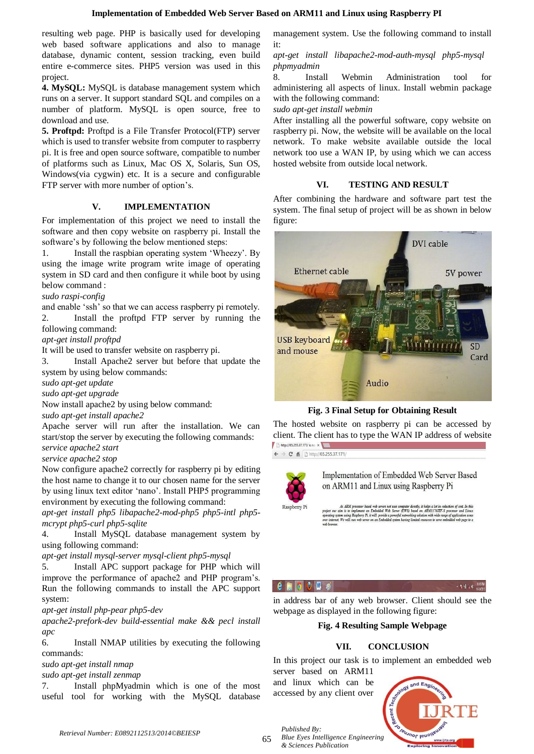resulting web page. PHP is basically used for developing web based software applications and also to manage database, dynamic content, session tracking, even build entire e-commerce sites. PHP5 version was used in this project.

**4. MySQL:** MySQL is database management system which runs on a server. It support standard SQL and compiles on a number of platform. MySQL is open source, free to download and use.

**5. Proftpd:** Proftpd is a File Transfer Protocol(FTP) server which is used to transfer website from computer to raspberry pi. It is free and open source software, compatible to number of platforms such as Linux, Mac OS X, Solaris, Sun OS, Windows(via cygwin) etc. It is a secure and configurable FTP server with more number of option"s.

# **V. IMPLEMENTATION**

For implementation of this project we need to install the software and then copy website on raspberry pi. Install the software's by following the below mentioned steps:

1. Install the raspbian operating system "Wheezy". By using the image write program write image of operating system in SD card and then configure it while boot by using below command :

*sudo raspi-config*

and enable 'ssh' so that we can access raspberry pi remotely. 2. Install the proftpd FTP server by running the following command:

*apt-get install proftpd*

It will be used to transfer website on raspberry pi.

3. Install Apache2 server but before that update the system by using below commands:

*sudo apt-get update* 

*sudo apt-get upgrade*

Now install apache2 by using below command:

*sudo apt-get install apache2*

Apache server will run after the installation. We can start/stop the server by executing the following commands: *service apache2 start*

*service apache2 stop*

Now configure apache2 correctly for raspberry pi by editing the host name to change it to our chosen name for the server by using linux text editor "nano". Install PHP5 programming environment by executing the following command:

*apt-get install php5 libapache2-mod-php5 php5-intl php5 mcrypt php5-curl php5-sqlite*

4. Install MySQL database management system by using following command:

*apt-get install mysql-server mysql-client php5-mysql*

5. Install APC support package for PHP which will improve the performance of apache2 and PHP program"s. Run the following commands to install the APC support system:

*apt-get install php-pear php5-dev*

*apache2-prefork-dev build-essential make && pecl install apc*

6. Install NMAP utilities by executing the following commands:

*sudo apt-get install nmap*

*sudo apt-get install zenmap*

7. Install phpMyadmin which is one of the most useful tool for working with the MySQL database management system. Use the following command to install it:

# *apt-get install libapache2-mod-auth-mysql php5-mysql phpmyadmin*

8. Install Webmin Administration tool for administering all aspects of linux. Install webmin package with the following command:

*sudo apt-get install webmin*

After installing all the powerful software, copy website on raspberry pi. Now, the website will be available on the local network. To make website available outside the local network too use a WAN IP, by using which we can access hosted website from outside local network.

# **VI. TESTING AND RESULT**

After combining the hardware and software part test the system. The final setup of project will be as shown in below figure:



**Fig. 3 Final Setup for Obtaining Result**

The hosted website on raspberry pi can be accessed by client. The client has to type the WAN IP address of website http://65.255.37.171/ is no x

 $\leftarrow$   $\rightarrow$  **C**  $\uparrow$  **If If the 1/65.255.37.171/** 



Raspberry Pi

Implementation of Embedded Web Server Based on ARM11 and Linux using Raspberry Pi

sor based web servers not uses computer directly, it helps a lot in reduction of cos<br>nent an Embedded Web Server (EWS) based on ARM1176JZF-S processor an<br>erry Pi. it will provide a powerful networking solution with wide ra ARM pro nt an Embedde<br>ry Pi. it will pre

 $\bullet$   $\blacksquare$   $\bullet$ 

 $-50x0$ 

in address bar of any web browser. Client should see the webpage as displayed in the following figure:

## **Fig. 4 Resulting Sample Webpage**

# **VII. CONCLUSION**

In this project our task is to implement an embedded web server based on ARM11

and linux which can be accessed by any client over



65

*Blue Eyes Intelligence Engineering & Sciences Publication*